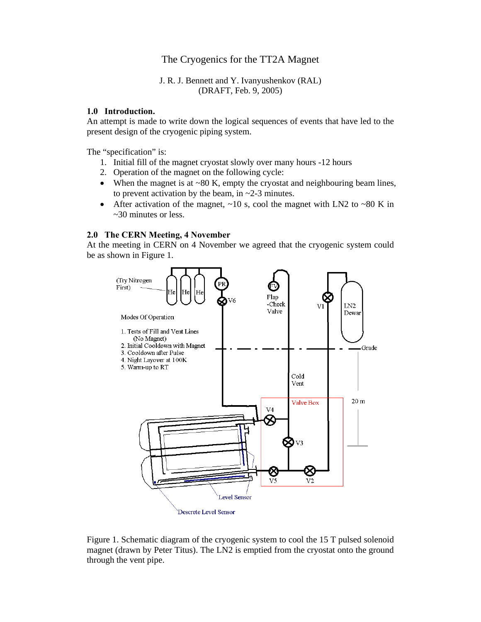# The Cryogenics for the TT2A Magnet

## J. R. J. Bennett and Y. Ivanyushenkov (RAL) (DRAFT, Feb. 9, 2005)

## **1.0 Introduction.**

An attempt is made to write down the logical sequences of events that have led to the present design of the cryogenic piping system.

The "specification" is:

- 1. Initial fill of the magnet cryostat slowly over many hours -12 hours
- 2. Operation of the magnet on the following cycle:
- When the magnet is at ~80 K, empty the cryostat and neighbouring beam lines, to prevent activation by the beam, in  $\sim$ 2-3 minutes.
- After activation of the magnet,  $\sim 10$  s, cool the magnet with LN2 to  $\sim 80$  K in ~30 minutes or less.

# **2.0 The CERN Meeting, 4 November**

At the meeting in CERN on 4 November we agreed that the cryogenic system could be as shown in Figure 1.



Figure 1. Schematic diagram of the cryogenic system to cool the 15 T pulsed solenoid magnet (drawn by Peter Titus). The LN2 is emptied from the cryostat onto the ground through the vent pipe.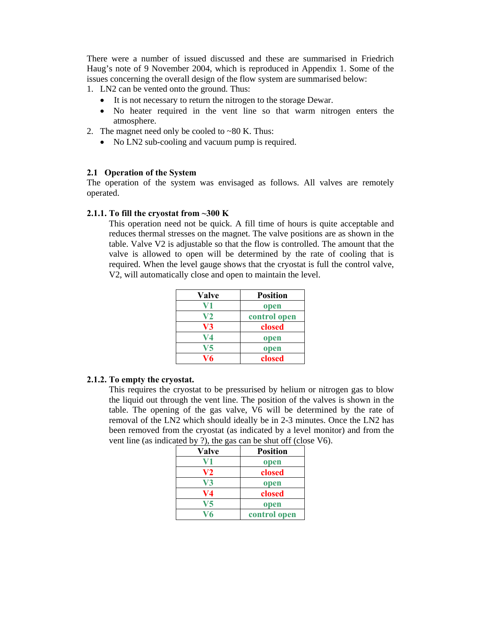There were a number of issued discussed and these are summarised in Friedrich Haug's note of 9 November 2004, which is reproduced in Appendix 1. Some of the issues concerning the overall design of the flow system are summarised below:

1. LN2 can be vented onto the ground. Thus:

- It is not necessary to return the nitrogen to the storage Dewar.
- No heater required in the vent line so that warm nitrogen enters the atmosphere.
- 2. The magnet need only be cooled to  $\sim 80$  K. Thus:
	- No LN2 sub-cooling and vacuum pump is required.

# **2.1 Operation of the System**

The operation of the system was envisaged as follows. All valves are remotely operated.

## **2.1.1. To fill the cryostat from ~300 K**

This operation need not be quick. A fill time of hours is quite acceptable and reduces thermal stresses on the magnet. The valve positions are as shown in the table. Valve V2 is adjustable so that the flow is controlled. The amount that the valve is allowed to open will be determined by the rate of cooling that is required. When the level gauge shows that the cryostat is full the control valve, V2, will automatically close and open to maintain the level.

| <b>Valve</b> | <b>Position</b> |
|--------------|-----------------|
| V1           | open            |
| V2           | control open    |
| V3           | closed          |
| V4           | open            |
| V5           | open            |
| V6           | closed          |

# **2.1.2. To empty the cryostat.**

This requires the cryostat to be pressurised by helium or nitrogen gas to blow the liquid out through the vent line. The position of the valves is shown in the table. The opening of the gas valve, V6 will be determined by the rate of removal of the LN2 which should ideally be in 2-3 minutes. Once the LN2 has been removed from the cryostat (as indicated by a level monitor) and from the vent line (as indicated by ?), the gas can be shut off (close V6).

| Valve | <b>Position</b> |
|-------|-----------------|
| V1    | open            |
| V2    | closed          |
| V3    | open            |
| V4    | closed          |
| V5    | open            |
| ง76   | control open    |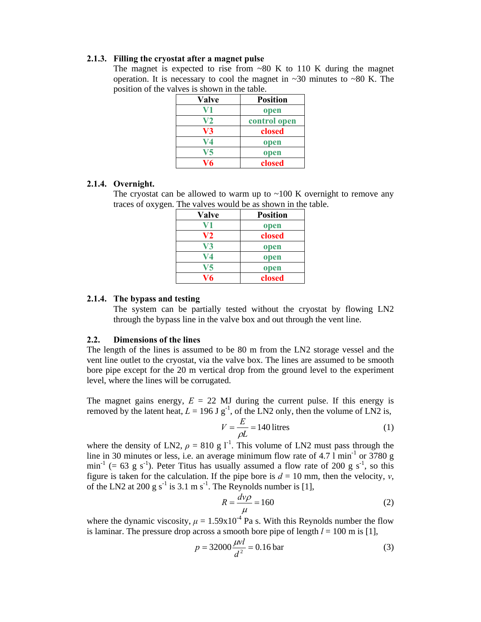## **2.1.3. Filling the cryostat after a magnet pulse**

The magnet is expected to rise from  $~80$  K to 110 K during the magnet operation. It is necessary to cool the magnet in  $\sim$ 30 minutes to  $\sim$ 80 K. The position of the valves is shown in the table.

| <b>Valve</b> | <b>Position</b> |
|--------------|-----------------|
|              | open            |
| $\bf V2$     | control open    |
| V3           | closed          |
| $V4$         | open            |
| 75           | open            |
| V6           | closed          |

#### **2.1.4. Overnight.**

The cryostat can be allowed to warm up to  $~100$  K overnight to remove any traces of oxygen. The valves would be as shown in the table.

| Valve | <b>Position</b> |
|-------|-----------------|
| V I   | open            |
| V2    | closed          |
| V3    | open            |
| V4    | open            |
| V5    | open            |
| V6    | closed          |

### **2.1.4. The bypass and testing**

The system can be partially tested without the cryostat by flowing LN2 through the bypass line in the valve box and out through the vent line.

#### **2.2. Dimensions of the lines**

The length of the lines is assumed to be 80 m from the LN2 storage vessel and the vent line outlet to the cryostat, via the valve box. The lines are assumed to be smooth bore pipe except for the 20 m vertical drop from the ground level to the experiment level, where the lines will be corrugated.

The magnet gains energy,  $E = 22$  MJ during the current pulse. If this energy is removed by the latent heat,  $L = 196$  J g<sup>-1</sup>, of the LN2 only, then the volume of LN2 is,

$$
V = \frac{E}{\rho L} = 140 \text{ litres}
$$
 (1)

where the density of LN2,  $\rho = 810 \text{ g l}^{-1}$ . This volume of LN2 must pass through the line in 30 minutes or less, i.e. an average minimum flow rate of  $4.7 \text{ l min}^{-1}$  or 3780 g  $\min^{-1}$  (= 63 g s<sup>-1</sup>). Peter Titus has usually assumed a flow rate of 200 g s<sup>-1</sup>, so this figure is taken for the calculation. If the pipe bore is  $d = 10$  mm, then the velocity, *v*, of the LN2 at 200 g s<sup>-1</sup> is 3.1 m s<sup>-1</sup>. The Reynolds number is [1],

$$
R = \frac{dv\rho}{\mu} = 160\tag{2}
$$

where the dynamic viscosity,  $\mu = 1.59 \times 10^{-4}$  Pa s. With this Reynolds number the flow is laminar. The pressure drop across a smooth bore pipe of length  $l = 100$  m is [1],

$$
p = 32000 \frac{\mu v l}{d^2} = 0.16 \text{ bar}
$$
 (3)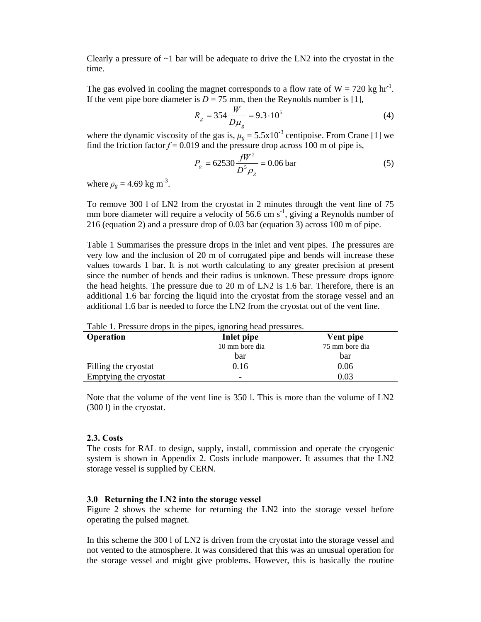Clearly a pressure of  $\sim$ 1 bar will be adequate to drive the LN2 into the cryostat in the time.

The gas evolved in cooling the magnet corresponds to a flow rate of  $W = 720$  kg hr<sup>-1</sup>. If the vent pipe bore diameter is  $D = 75$  mm, then the Reynolds number is [1],

$$
R_g = 354 \frac{W}{D\mu_g} = 9.3 \cdot 10^5 \tag{4}
$$

where the dynamic viscosity of the gas is,  $\mu$ <sub>g</sub> = 5.5x10<sup>-3</sup> centipoise. From Crane [1] we find the friction factor  $f = 0.019$  and the pressure drop across 100 m of pipe is,

$$
P_g = 62530 \frac{fW^2}{D^5 \rho_g} = 0.06 \text{ bar}
$$
 (5)

where  $\rho_g = 4.69 \text{ kg m}^{-3}$ .

To remove 300 l of LN2 from the cryostat in 2 minutes through the vent line of 75 mm bore diameter will require a velocity of 56.6 cm  $s^{-1}$ , giving a Reynolds number of 216 (equation 2) and a pressure drop of 0.03 bar (equation 3) across 100 m of pipe.

Table 1 Summarises the pressure drops in the inlet and vent pipes. The pressures are very low and the inclusion of 20 m of corrugated pipe and bends will increase these values towards 1 bar. It is not worth calculating to any greater precision at present since the number of bends and their radius is unknown. These pressure drops ignore the head heights. The pressure due to 20 m of LN2 is 1.6 bar. Therefore, there is an additional 1.6 bar forcing the liquid into the cryostat from the storage vessel and an additional 1.6 bar is needed to force the LN2 from the cryostat out of the vent line.

| <b>Operation</b>      | Inlet pipe<br>10 mm bore dia | Vent pipe<br>75 mm bore dia |
|-----------------------|------------------------------|-----------------------------|
|                       | bar                          | bar                         |
| Filling the cryostat  | 0.16                         | 0.06                        |
| Emptying the cryostat | -                            | 0.03                        |

Table 1. Pressure drops in the pipes, ignoring head pressures.

Note that the volume of the vent line is 350 l. This is more than the volume of LN2 (300 l) in the cryostat.

#### **2.3. Costs**

The costs for RAL to design, supply, install, commission and operate the cryogenic system is shown in Appendix 2. Costs include manpower. It assumes that the LN2 storage vessel is supplied by CERN.

#### **3.0 Returning the LN2 into the storage vessel**

Figure 2 shows the scheme for returning the LN2 into the storage vessel before operating the pulsed magnet.

In this scheme the 300 l of LN2 is driven from the cryostat into the storage vessel and not vented to the atmosphere. It was considered that this was an unusual operation for the storage vessel and might give problems. However, this is basically the routine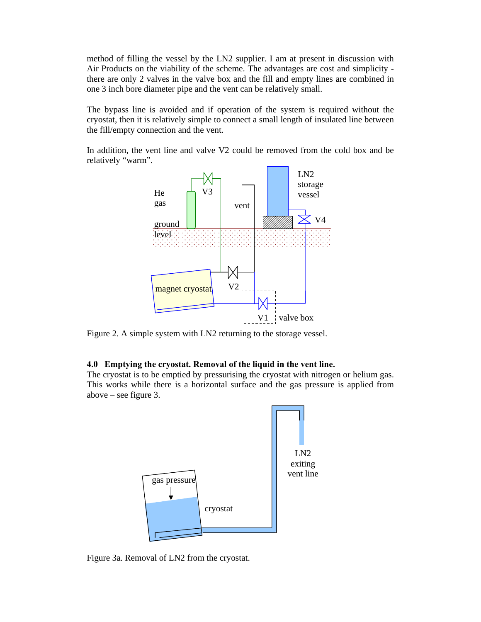method of filling the vessel by the LN2 supplier. I am at present in discussion with Air Products on the viability of the scheme. The advantages are cost and simplicity there are only 2 valves in the valve box and the fill and empty lines are combined in one 3 inch bore diameter pipe and the vent can be relatively small.

The bypass line is avoided and if operation of the system is required without the cryostat, then it is relatively simple to connect a small length of insulated line between the fill/empty connection and the vent.

In addition, the vent line and valve V2 could be removed from the cold box and be relatively "warm".



Figure 2. A simple system with LN2 returning to the storage vessel.

#### **4.0 Emptying the cryostat. Removal of the liquid in the vent line.**

The cryostat is to be emptied by pressurising the cryostat with nitrogen or helium gas. This works while there is a horizontal surface and the gas pressure is applied from above – see figure 3.



Figure 3a. Removal of LN2 from the cryostat.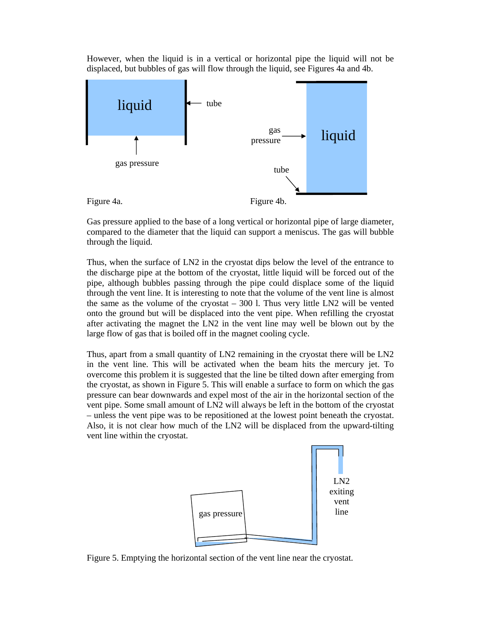However, when the liquid is in a vertical or horizontal pipe the liquid will not be displaced, but bubbles of gas will flow through the liquid, see Figures 4a and 4b.



Gas pressure applied to the base of a long vertical or horizontal pipe of large diameter, compared to the diameter that the liquid can support a meniscus. The gas will bubble through the liquid.

Thus, when the surface of LN2 in the cryostat dips below the level of the entrance to the discharge pipe at the bottom of the cryostat, little liquid will be forced out of the pipe, although bubbles passing through the pipe could displace some of the liquid through the vent line. It is interesting to note that the volume of the vent line is almost the same as the volume of the cryostat  $-300$  l. Thus very little LN2 will be vented onto the ground but will be displaced into the vent pipe. When refilling the cryostat after activating the magnet the LN2 in the vent line may well be blown out by the large flow of gas that is boiled off in the magnet cooling cycle.

Thus, apart from a small quantity of LN2 remaining in the cryostat there will be LN2 in the vent line. This will be activated when the beam hits the mercury jet. To overcome this problem it is suggested that the line be tilted down after emerging from the cryostat, as shown in Figure 5. This will enable a surface to form on which the gas pressure can bear downwards and expel most of the air in the horizontal section of the vent pipe. Some small amount of LN2 will always be left in the bottom of the cryostat – unless the vent pipe was to be repositioned at the lowest point beneath the cryostat. Also, it is not clear how much of the LN2 will be displaced from the upward-tilting vent line within the cryostat.



Figure 5. Emptying the horizontal section of the vent line near the cryostat.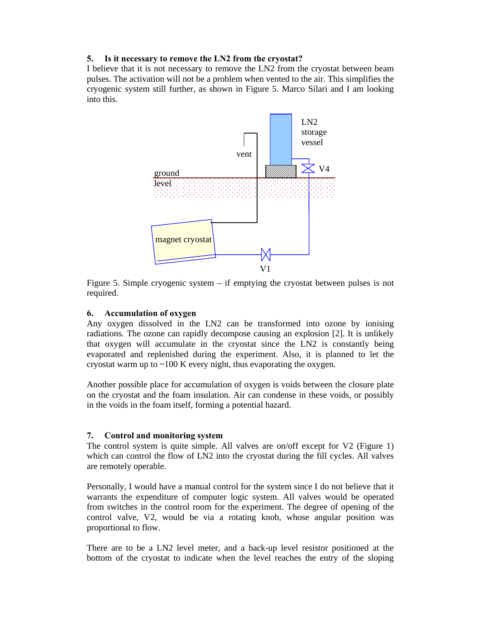# **5. Is it necessary to remove the LN2 from the cryostat?**

I believe that it is not necessary to remove the LN2 from the cryostat between beam pulses. The activation will not be a problem when vented to the air. This simplifies the cryogenic system still further, as shown in Figure 5. Marco Silari and I am looking into this.



Figure 5. Simple cryogenic system – if emptying the cryostat between pulses is not required.

# **6. Accumulation of oxygen**

Any oxygen dissolved in the LN2 can be transformed into ozone by ionising radiations. The ozone can rapidly decompose causing an explosion [2]. It is unlikely that oxygen will accumulate in the cryostat since the LN2 is constantly being evaporated and replenished during the experiment. Also, it is planned to let the cryostat warm up to  $\sim$ 100 K every night, thus evaporating the oxygen.

Another possible place for accumulation of oxygen is voids between the closure plate on the cryostat and the foam insulation. Air can condense in these voids, or possibly in the voids in the foam itself, forming a potential hazard.

# **7. Control and monitoring system**

The control system is quite simple. All valves are on/off except for V2 (Figure 1) which can control the flow of LN2 into the cryostat during the fill cycles. All valves are remotely operable.

Personally, I would have a manual control for the system since I do not believe that it warrants the expenditure of computer logic system. All valves would be operated from switches in the control room for the experiment. The degree of opening of the control valve, V2, would be via a rotating knob, whose angular position was proportional to flow.

There are to be a LN2 level meter, and a back-up level resistor positioned at the bottom of the cryostat to indicate when the level reaches the entry of the sloping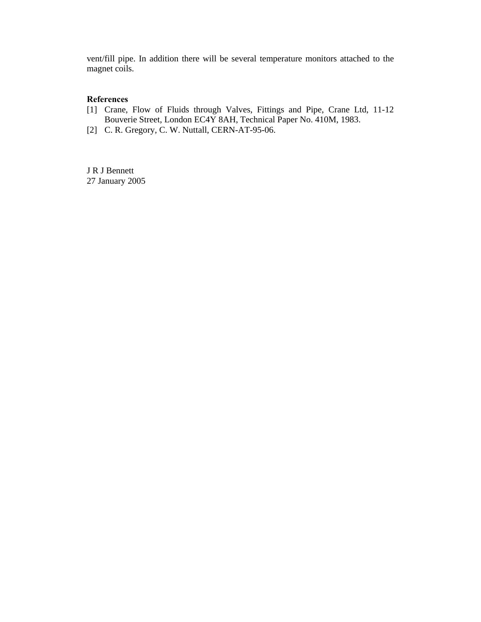vent/fill pipe. In addition there will be several temperature monitors attached to the magnet coils.

# **References**

- [1] Crane, Flow of Fluids through Valves, Fittings and Pipe, Crane Ltd, 11-12 Bouverie Street, London EC4Y 8AH, Technical Paper No. 410M, 1983.
- [2] C. R. Gregory, C. W. Nuttall, CERN-AT-95-06.

J R J Bennett 27 January 2005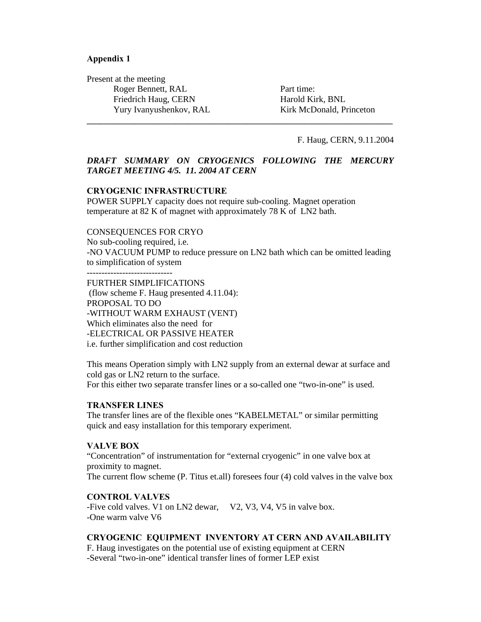## **Appendix 1**

Present at the meeting Roger Bennett, RAL Friedrich Haug, CERN Yury Ivanyushenkov, RAL

Part time: Harold Kirk, BNL Kirk McDonald, Princeton

F. Haug, CERN, 9.11.2004

# *DRAFT SUMMARY ON CRYOGENICS FOLLOWING THE MERCURY TARGET MEETING 4/5. 11. 2004 AT CERN*

**\_\_\_\_\_\_\_\_\_\_\_\_\_\_\_\_\_\_\_\_\_\_\_\_\_\_\_\_\_\_\_\_\_\_\_\_\_\_\_\_\_\_\_\_\_\_\_\_\_\_\_\_\_\_\_\_\_\_\_\_\_\_\_\_\_\_\_\_\_** 

## **CRYOGENIC INFRASTRUCTURE**

POWER SUPPLY capacity does not require sub-cooling. Magnet operation temperature at 82 K of magnet with approximately 78 K of LN2 bath.

#### CONSEQUENCES FOR CRYO

No sub-cooling required, i.e. -NO VACUUM PUMP to reduce pressure on LN2 bath which can be omitted leading to simplification of system

FURTHER SIMPLIFICATIONS (flow scheme F. Haug presented 4.11.04): PROPOSAL TO DO -WITHOUT WARM EXHAUST (VENT) Which eliminates also the need for -ELECTRICAL OR PASSIVE HEATER i.e. further simplification and cost reduction

This means Operation simply with LN2 supply from an external dewar at surface and cold gas or LN2 return to the surface. For this either two separate transfer lines or a so-called one "two-in-one" is used.

## **TRANSFER LINES**

The transfer lines are of the flexible ones "KABELMETAL" or similar permitting quick and easy installation for this temporary experiment.

## **VALVE BOX**

"Concentration" of instrumentation for "external cryogenic" in one valve box at proximity to magnet. The current flow scheme (P. Titus et.all) foresees four (4) cold valves in the valve box

## **CONTROL VALVES**

-Five cold valves. V1 on LN2 dewar, V2, V3, V4, V5 in valve box. -One warm valve V6

## **CRYOGENIC EQUIPMENT INVENTORY AT CERN AND AVAILABILITY**

F. Haug investigates on the potential use of existing equipment at CERN -Several "two-in-one" identical transfer lines of former LEP exist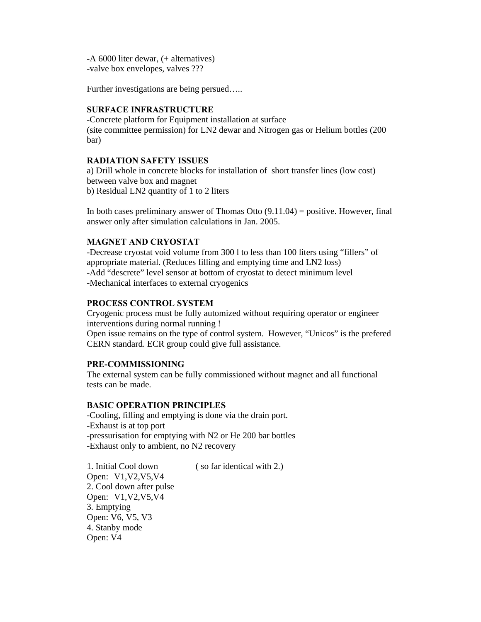-A 6000 liter dewar, (+ alternatives) -valve box envelopes, valves ???

Further investigations are being persued.....

# **SURFACE INFRASTRUCTURE**

-Concrete platform for Equipment installation at surface (site committee permission) for LN2 dewar and Nitrogen gas or Helium bottles (200 bar)

# **RADIATION SAFETY ISSUES**

a) Drill whole in concrete blocks for installation of short transfer lines (low cost) between valve box and magnet b) Residual LN2 quantity of 1 to 2 liters

In both cases preliminary answer of Thomas Otto  $(9.11.04)$  = positive. However, final answer only after simulation calculations in Jan. 2005.

# **MAGNET AND CRYOSTAT**

-Decrease cryostat void volume from 300 l to less than 100 liters using "fillers" of appropriate material. (Reduces filling and emptying time and LN2 loss) -Add "descrete" level sensor at bottom of cryostat to detect minimum level -Mechanical interfaces to external cryogenics

# **PROCESS CONTROL SYSTEM**

Cryogenic process must be fully automized without requiring operator or engineer interventions during normal running !

Open issue remains on the type of control system. However, "Unicos" is the prefered CERN standard. ECR group could give full assistance.

# **PRE-COMMISSIONING**

The external system can be fully commissioned without magnet and all functional tests can be made.

# **BASIC OPERATION PRINCIPLES**

-Cooling, filling and emptying is done via the drain port. -Exhaust is at top port -pressurisation for emptying with N2 or He 200 bar bottles -Exhaust only to ambient, no N2 recovery

1. Initial Cool down ( so far identical with 2.) Open: V1,V2,V5,V4 2. Cool down after pulse Open: V1,V2,V5,V4 3. Emptying Open: V6, V5, V3 4. Stanby mode Open: V4